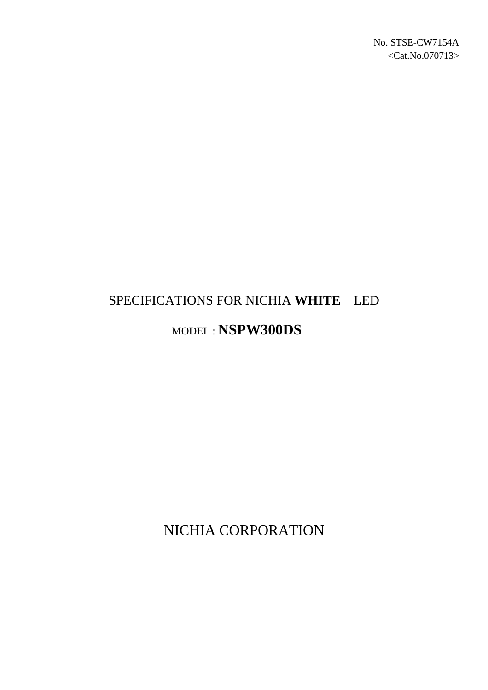# SPECIFICATIONS FOR NICHIA **WHITE** LED

## MODEL : **NSPW300DS**

NICHIA CORPORATION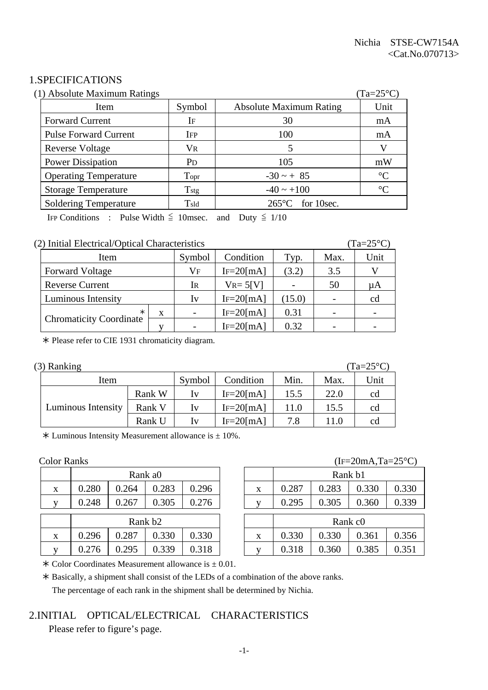#### 1.SPECIFICATIONS

| (1) Absolute Maximum Ratings |                       |                                | $(Ta=25^{\circ}C)$ |
|------------------------------|-----------------------|--------------------------------|--------------------|
| Item                         | Symbol                | <b>Absolute Maximum Rating</b> | Unit               |
| <b>Forward Current</b>       | IF                    | 30                             | mA                 |
| <b>Pulse Forward Current</b> | <b>IFP</b>            | 100                            | mA                 |
| <b>Reverse Voltage</b>       | $V_{R}$               |                                | V                  |
| <b>Power Dissipation</b>     | <b>P</b> <sub>D</sub> | 105                            | mW                 |
| <b>Operating Temperature</b> | Topr                  | $-30 \sim + 85$                | $\rm ^{\circ}C$    |
| <b>Storage Temperature</b>   | $T_{\rm stg}$         | $-40 \sim +100$                | $\rm ^{\circ}C$    |
| <b>Soldering Temperature</b> | $T_{\rm sld}$         | for 10sec.<br>$265^{\circ}$ C  |                    |

IFP Conditions : Pulse Width  $\leq$  10msec. and Duty  $\leq$  1/10

#### (2) Initial Electrical/Optical Characteristics (Ta=25°C)

| Item                           |    | Symbol                   | Condition      | Typ.   | Max. | Unit |
|--------------------------------|----|--------------------------|----------------|--------|------|------|
| <b>Forward Voltage</b>         | Vf | $IF=20$ [mA]             | (3.2)          | 3.5    |      |      |
| <b>Reverse Current</b>         |    | Ir                       | $V_{R} = 5[V]$ |        | 50   | иA   |
| Luminous Intensity             |    | Iv                       | $IF=20$ [mA]   | (15.0) |      | cd   |
| X                              |    | $\overline{\phantom{0}}$ | $IF=20$ [mA]   | 0.31   |      |      |
| <b>Chromaticity Coordinate</b> |    |                          | $IF = 20$ [mA] | 0.32   |      |      |

½ Please refer to CIE 1931 chromaticity diagram.

| $(3)$ Ranking |  |  |  |
|---------------|--|--|--|
|---------------|--|--|--|

| (3) Ranking        |        |                         |                |      |      | $(Ta=25^{\circ}C)$ |
|--------------------|--------|-------------------------|----------------|------|------|--------------------|
| Item               | Symbol | Condition               | Min.           | Max. | Unit |                    |
|                    | Rank W | $I_{V}$                 | $IF = 20$ [mA] | 15.5 | 22.0 | cd                 |
| Luminous Intensity | Rank V | Iv                      | $IF=20$ [mA]   | 11.0 | 15.5 | cd                 |
|                    | Rank U | $\mathbf{I} \mathbf{V}$ | $IF = 20$ [mA] | 7.8  | 11.0 | cd                 |

 $*$  Luminous Intensity Measurement allowance is  $\pm$  10%.

|                           |                     |       | Rank a0 |       |  |   |       |       | Rank b1             |
|---------------------------|---------------------|-------|---------|-------|--|---|-------|-------|---------------------|
| X                         | 0.280               | 0.264 | 0.283   | 0.296 |  | X | 0.287 | 0.283 | 0.3                 |
| $\mathbf{V}$              | 0.248               | 0.267 | 0.305   | 0.276 |  |   | 0.295 | 0.305 | 0.3                 |
|                           | Rank b <sub>2</sub> |       |         |       |  |   |       |       | Rank c <sub>0</sub> |
| $\boldsymbol{\mathrm{X}}$ | 0.296               | 0.287 | 0.330   | 0.330 |  | X | 0.330 | 0.330 | 0.3                 |
| v                         | 0.276               | 0.295 | 0.339   | .318  |  | v |       | 0.360 | 0.3                 |

#### Color Ranks (IF=20mA,Ta=25°C)

|   |                     |       | Rank a0 |       |   |                     | Rank b1 |       |       |
|---|---------------------|-------|---------|-------|---|---------------------|---------|-------|-------|
| X | 0.280               | 0.264 | 0.283   | 0.296 | X | 0.287               | 0.283   | 0.330 | 0.330 |
| V | 0.248               | 0.267 | 0.305   | 0.276 |   | 0.295               | 0.305   | 0.360 | 0.339 |
|   | Rank b <sub>2</sub> |       |         |       |   | Rank c <sub>0</sub> |         |       |       |
|   |                     |       |         |       |   |                     |         |       |       |
| X | 0.296               | 0.287 | 0.330   | 0.330 | X | 0.330               | 0.330   | 0.361 | 0.356 |
| V | 0.276               | 0.295 | 0.339   | 0.318 |   | 0.318               | 0.360   | 0.385 | 0.351 |

 $\ast$  Color Coordinates Measurement allowance is  $\pm$  0.01.

½ Basically, a shipment shall consist of the LEDs of a combination of the above ranks. The percentage of each rank in the shipment shall be determined by Nichia.

#### 2.INITIAL OPTICAL/ELECTRICAL CHARACTERISTICS

Please refer to figure's page.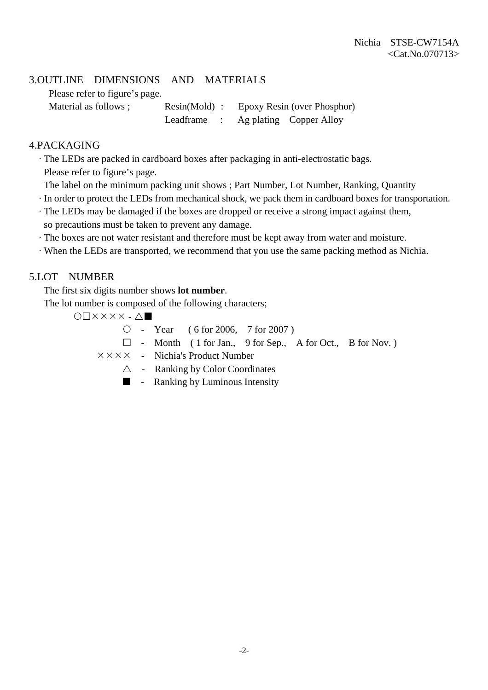#### 3.OUTLINE DIMENSIONS AND MATERIALS

Please refer to figure's page.

Material as follows ; Resin(Mold) : Epoxy Resin (over Phosphor) Leadframe : Ag plating Copper Alloy

#### 4.PACKAGING

· The LEDs are packed in cardboard boxes after packaging in anti-electrostatic bags.

Please refer to figure's page.

- The label on the minimum packing unit shows ; Part Number, Lot Number, Ranking, Quantity
- · In order to protect the LEDs from mechanical shock, we pack them in cardboard boxes for transportation.
- · The LEDs may be damaged if the boxes are dropped or receive a strong impact against them, so precautions must be taken to prevent any damage.
- · The boxes are not water resistant and therefore must be kept away from water and moisture.
- · When the LEDs are transported, we recommend that you use the same packing method as Nichia.

#### 5.LOT NUMBER

The first six digits number shows **lot number**.

The lot number is composed of the following characters;

 $O\Box$  $X$  $X$  $X$  $X$  $\cdot$  $\Delta$  $\blacksquare$ 

 ${\circ}$  - Year ( 6 for 2006, 7 for 2007)

 $\Box$  - Month ( 1 for Jan., 9 for Sep., A for Oct., B for Nov.)

 $\times \times \times \times$  - Nichia's Product Number

- $\triangle$  Ranking by Color Coordinates
- $\blacksquare$  Ranking by Luminous Intensity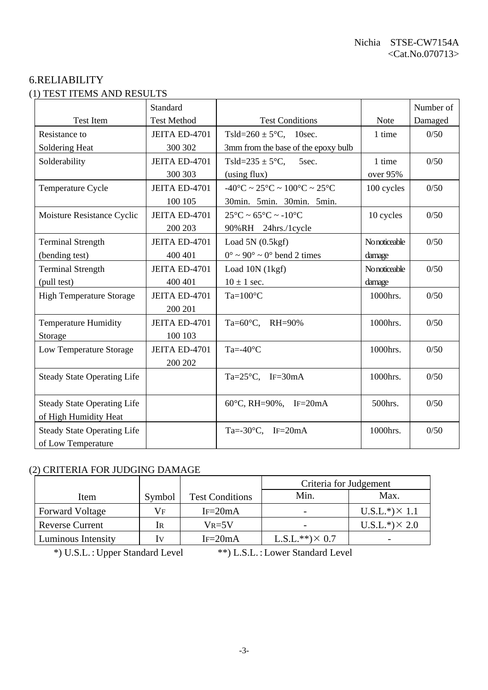#### 6.RELIABILITY (1) TEST ITEMS AND RESULTS

|                                    | Standard           |                                                                        |               | Number of |
|------------------------------------|--------------------|------------------------------------------------------------------------|---------------|-----------|
| <b>Test Item</b>                   | <b>Test Method</b> | <b>Test Conditions</b>                                                 | Note          | Damaged   |
| Resistance to                      | JEITA ED-4701      | Tsld= $260 \pm 5^{\circ}$ C, 10sec.                                    | 1 time        | 0/50      |
| Soldering Heat                     | 300 302            | 3mm from the base of the epoxy bulb                                    |               |           |
| Solderability                      | JEITA ED-4701      | Tsld= $235 \pm 5$ °C,<br>5sec.                                         | 1 time        | 0/50      |
|                                    | 300 303            | (using flux)                                                           | over 95%      |           |
| Temperature Cycle                  | JEITA ED-4701      | $-40^{\circ}$ C ~ 25 $^{\circ}$ C ~ 100 $^{\circ}$ C ~ 25 $^{\circ}$ C | 100 cycles    | 0/50      |
|                                    | 100 105            | 30min. 5min. 30min. 5min.                                              |               |           |
| Moisture Resistance Cyclic         | JEITA ED-4701      | $25^{\circ}$ C ~ 65 $^{\circ}$ C ~ -10 $^{\circ}$ C                    | 10 cycles     | 0/50      |
|                                    | 200 203            | 90%RH 24hrs./1cycle                                                    |               |           |
| <b>Terminal Strength</b>           | JEITA ED-4701      | Load $5N(0.5kgf)$                                                      | No noticeable | 0/50      |
| (bending test)                     | 400 401            | $0^{\circ} \sim 90^{\circ} \sim 0^{\circ}$ bend 2 times                | damage        |           |
| <b>Terminal Strength</b>           | JEITA ED-4701      | Load 10N (1kgf)                                                        | No noticeable | 0/50      |
| (pull test)                        | 400 401            | $10 \pm 1$ sec.                                                        | damage        |           |
| <b>High Temperature Storage</b>    | JEITA ED-4701      | $Ta=100^{\circ}C$                                                      | 1000hrs.      | 0/50      |
|                                    | 200 201            |                                                                        |               |           |
| <b>Temperature Humidity</b>        | JEITA ED-4701      | Ta= $60^{\circ}$ C, RH= $90\%$                                         | 1000hrs.      | 0/50      |
| Storage                            | 100 103            |                                                                        |               |           |
| Low Temperature Storage            | JEITA ED-4701      | Ta=- $40^{\circ}$ C                                                    | 1000hrs.      | 0/50      |
|                                    | 200 202            |                                                                        |               |           |
| <b>Steady State Operating Life</b> |                    | Ta= $25^{\circ}$ C, IF=30mA                                            | 1000hrs.      | 0/50      |
|                                    |                    |                                                                        |               |           |
| <b>Steady State Operating Life</b> |                    | 60°C, RH=90%, IF=20mA                                                  | 500hrs.       | 0/50      |
| of High Humidity Heat              |                    |                                                                        |               |           |
| <b>Steady State Operating Life</b> |                    | Ta=-30 $\textdegree$ C, IF=20mA                                        | 1000hrs.      | 0/50      |
| of Low Temperature                 |                    |                                                                        |               |           |

### (2) CRITERIA FOR JUDGING DAMAGE

| 2) CNHENIA FON JODOINO DAMAOE |        |                        |                        |                       |  |  |  |
|-------------------------------|--------|------------------------|------------------------|-----------------------|--|--|--|
|                               |        |                        | Criteria for Judgement |                       |  |  |  |
| Item                          | Symbol | <b>Test Conditions</b> | Min.                   | Max.                  |  |  |  |
| <b>Forward Voltage</b>        | Vf     | $IF = 20mA$            |                        | $U.S.L.*) \times 1.1$ |  |  |  |
| <b>Reverse Current</b>        | IR     | $V_{R=5}V$             |                        | $U.S.L.*) \times 2.0$ |  |  |  |
| <b>Luminous Intensity</b>     | Iv     | $IF = 20mA$            | $L.S.L.**) \times 0.7$ |                       |  |  |  |

\*) U.S.L. : Upper Standard Level \*\*) L.S.L. : Lower Standard Level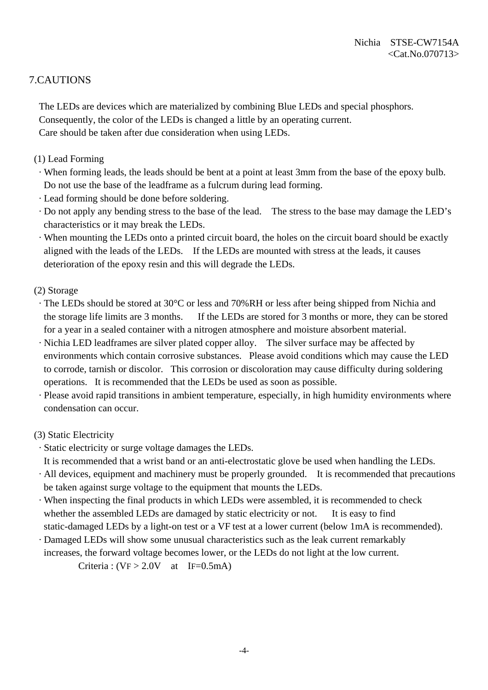#### 7.CAUTIONS

 The LEDs are devices which are materialized by combining Blue LEDs and special phosphors. Consequently, the color of the LEDs is changed a little by an operating current. Care should be taken after due consideration when using LEDs.

- (1) Lead Forming
	- · When forming leads, the leads should be bent at a point at least 3mm from the base of the epoxy bulb. Do not use the base of the leadframe as a fulcrum during lead forming.
	- · Lead forming should be done before soldering.
- · Do not apply any bending stress to the base of the lead. The stress to the base may damage the LED's characteristics or it may break the LEDs.
- · When mounting the LEDs onto a printed circuit board, the holes on the circuit board should be exactly aligned with the leads of the LEDs. If the LEDs are mounted with stress at the leads, it causes deterioration of the epoxy resin and this will degrade the LEDs.
- (2) Storage
	- · The LEDs should be stored at 30°C or less and 70%RH or less after being shipped from Nichia and the storage life limits are 3 months. If the LEDs are stored for 3 months or more, they can be stored for a year in a sealed container with a nitrogen atmosphere and moisture absorbent material.
- · Nichia LED leadframes are silver plated copper alloy. The silver surface may be affected by environments which contain corrosive substances. Please avoid conditions which may cause the LED to corrode, tarnish or discolor. This corrosion or discoloration may cause difficulty during soldering operations. It is recommended that the LEDs be used as soon as possible.
- · Please avoid rapid transitions in ambient temperature, especially, in high humidity environments where condensation can occur.

#### (3) Static Electricity

- · Static electricity or surge voltage damages the LEDs.
- It is recommended that a wrist band or an anti-electrostatic glove be used when handling the LEDs.
- · All devices, equipment and machinery must be properly grounded. It is recommended that precautions be taken against surge voltage to the equipment that mounts the LEDs.
- · When inspecting the final products in which LEDs were assembled, it is recommended to check whether the assembled LEDs are damaged by static electricity or not. It is easy to find static-damaged LEDs by a light-on test or a VF test at a lower current (below 1mA is recommended).
- · Damaged LEDs will show some unusual characteristics such as the leak current remarkably increases, the forward voltage becomes lower, or the LEDs do not light at the low current.

Criteria :  $(VF > 2.0V$  at IF=0.5mA)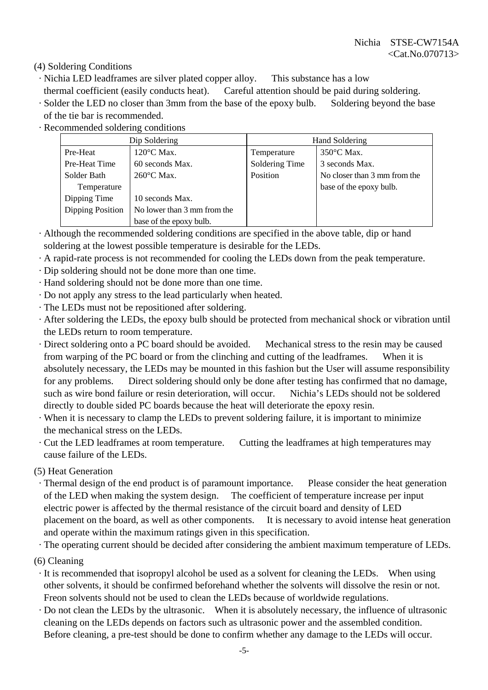(4) Soldering Conditions

- · Nichia LED leadframes are silver plated copper alloy. This substance has a low
- thermal coefficient (easily conducts heat). Careful attention should be paid during soldering.
- · Solder the LED no closer than 3mm from the base of the epoxy bulb. Soldering beyond the base of the tie bar is recommended.
- · Recommended soldering conditions

|                  | Dip Soldering               | Hand Soldering |                              |  |
|------------------|-----------------------------|----------------|------------------------------|--|
| Pre-Heat         | $120^{\circ}$ C Max.        | Temperature    | $350^{\circ}$ C Max.         |  |
| Pre-Heat Time    | 60 seconds Max.             | Soldering Time | 3 seconds Max.               |  |
| Solder Bath      | 260°C Max.                  | Position       | No closer than 3 mm from the |  |
| Temperature      |                             |                | base of the epoxy bulb.      |  |
| Dipping Time     | 10 seconds Max.             |                |                              |  |
| Dipping Position | No lower than 3 mm from the |                |                              |  |
|                  | base of the epoxy bulb.     |                |                              |  |

- · Although the recommended soldering conditions are specified in the above table, dip or hand soldering at the lowest possible temperature is desirable for the LEDs.
- · A rapid-rate process is not recommended for cooling the LEDs down from the peak temperature.
- · Dip soldering should not be done more than one time.
- · Hand soldering should not be done more than one time.
- · Do not apply any stress to the lead particularly when heated.
- · The LEDs must not be repositioned after soldering.
- · After soldering the LEDs, the epoxy bulb should be protected from mechanical shock or vibration until the LEDs return to room temperature.
- · Direct soldering onto a PC board should be avoided. Mechanical stress to the resin may be caused from warping of the PC board or from the clinching and cutting of the leadframes. When it is absolutely necessary, the LEDs may be mounted in this fashion but the User will assume responsibility for any problems. Direct soldering should only be done after testing has confirmed that no damage, such as wire bond failure or resin deterioration, will occur. Nichia's LEDs should not be soldered directly to double sided PC boards because the heat will deteriorate the epoxy resin.
- · When it is necessary to clamp the LEDs to prevent soldering failure, it is important to minimize the mechanical stress on the LEDs.
- · Cut the LED leadframes at room temperature. Cutting the leadframes at high temperatures may cause failure of the LEDs.

(5) Heat Generation

 · Thermal design of the end product is of paramount importance. Please consider the heat generation of the LED when making the system design. The coefficient of temperature increase per input electric power is affected by the thermal resistance of the circuit board and density of LED placement on the board, as well as other components. It is necessary to avoid intense heat generation and operate within the maximum ratings given in this specification.

· The operating current should be decided after considering the ambient maximum temperature of LEDs.

(6) Cleaning

- · It is recommended that isopropyl alcohol be used as a solvent for cleaning the LEDs. When using other solvents, it should be confirmed beforehand whether the solvents will dissolve the resin or not. Freon solvents should not be used to clean the LEDs because of worldwide regulations.
- · Do not clean the LEDs by the ultrasonic. When it is absolutely necessary, the influence of ultrasonic cleaning on the LEDs depends on factors such as ultrasonic power and the assembled condition. Before cleaning, a pre-test should be done to confirm whether any damage to the LEDs will occur.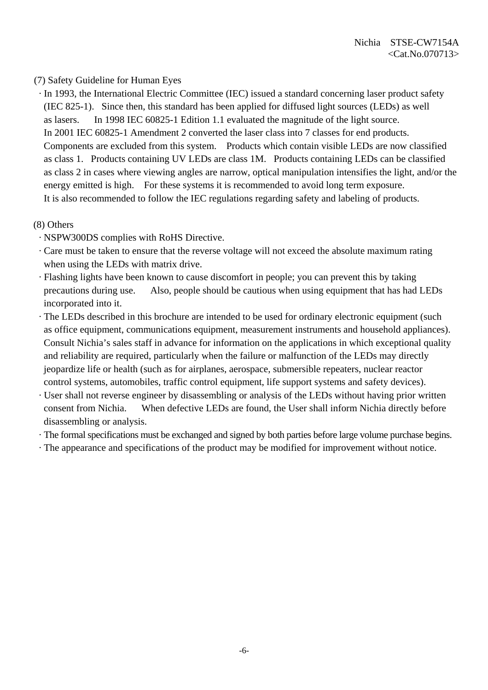#### (7) Safety Guideline for Human Eyes

 · In 1993, the International Electric Committee (IEC) issued a standard concerning laser product safety (IEC 825-1). Since then, this standard has been applied for diffused light sources (LEDs) as well as lasers. In 1998 IEC 60825-1 Edition 1.1 evaluated the magnitude of the light source. In 2001 IEC 60825-1 Amendment 2 converted the laser class into 7 classes for end products. Components are excluded from this system. Products which contain visible LEDs are now classified as class 1. Products containing UV LEDs are class 1M. Products containing LEDs can be classified as class 2 in cases where viewing angles are narrow, optical manipulation intensifies the light, and/or the energy emitted is high. For these systems it is recommended to avoid long term exposure. It is also recommended to follow the IEC regulations regarding safety and labeling of products.

#### (8) Others

- · NSPW300DS complies with RoHS Directive.
- · Care must be taken to ensure that the reverse voltage will not exceed the absolute maximum rating when using the LEDs with matrix drive.
- · Flashing lights have been known to cause discomfort in people; you can prevent this by taking precautions during use. Also, people should be cautious when using equipment that has had LEDs incorporated into it.
- · The LEDs described in this brochure are intended to be used for ordinary electronic equipment (such as office equipment, communications equipment, measurement instruments and household appliances). Consult Nichia's sales staff in advance for information on the applications in which exceptional quality and reliability are required, particularly when the failure or malfunction of the LEDs may directly jeopardize life or health (such as for airplanes, aerospace, submersible repeaters, nuclear reactor control systems, automobiles, traffic control equipment, life support systems and safety devices).
- · User shall not reverse engineer by disassembling or analysis of the LEDs without having prior written consent from Nichia. When defective LEDs are found, the User shall inform Nichia directly before disassembling or analysis.
- · The formal specifications must be exchanged and signed by both parties before large volume purchase begins.
- · The appearance and specifications of the product may be modified for improvement without notice.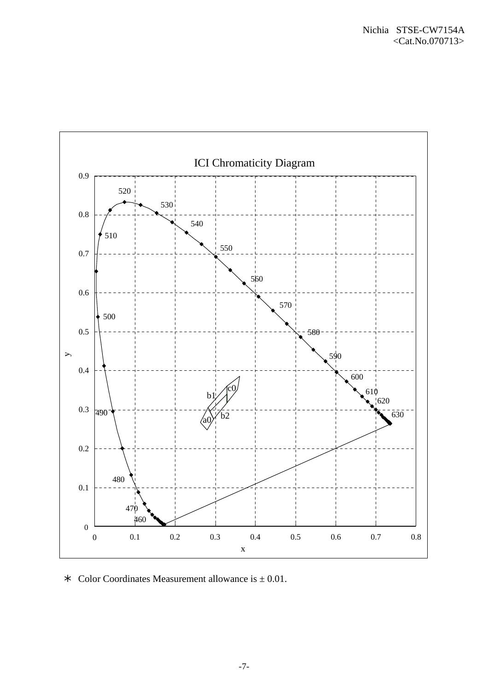

 $\ast$  Color Coordinates Measurement allowance is  $\pm$  0.01.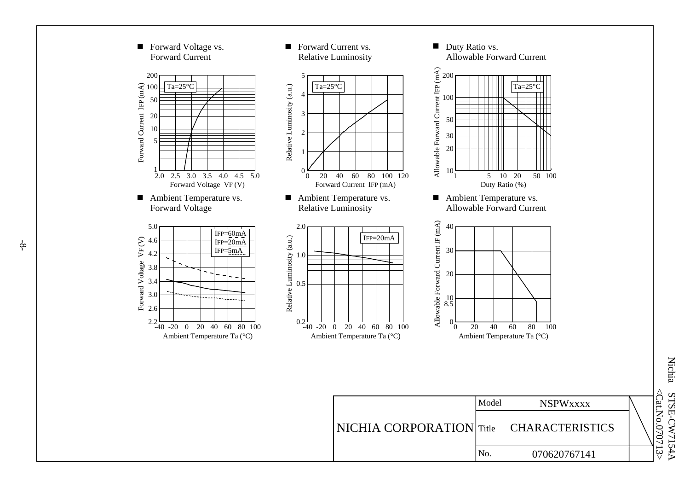

-8-

 <Cat.No.Nichia STSE-CW7154A STSE-CW7154A 070713 >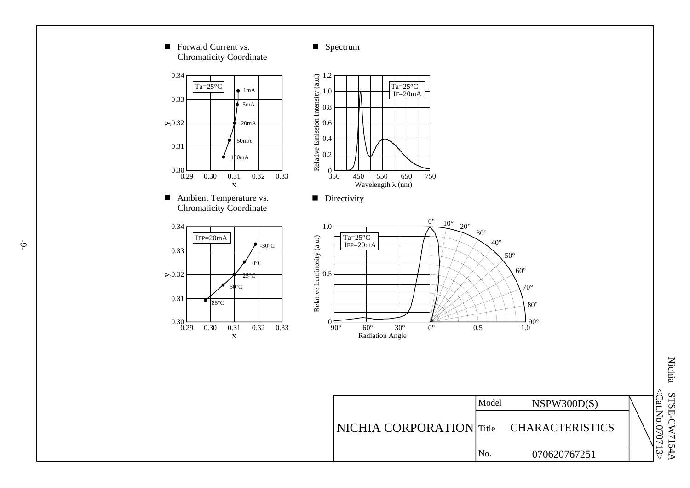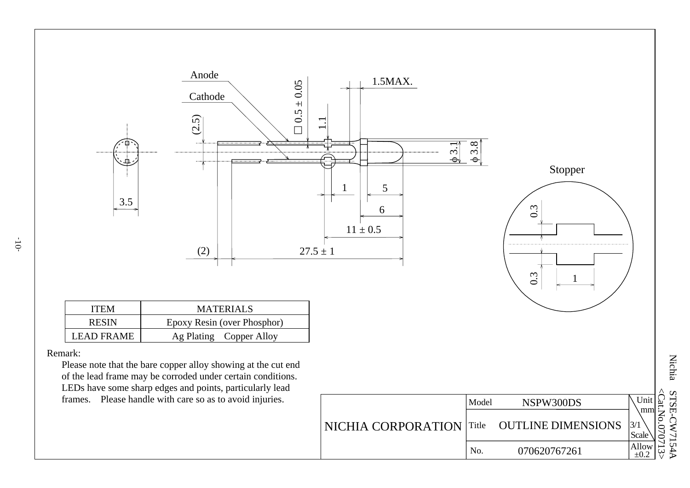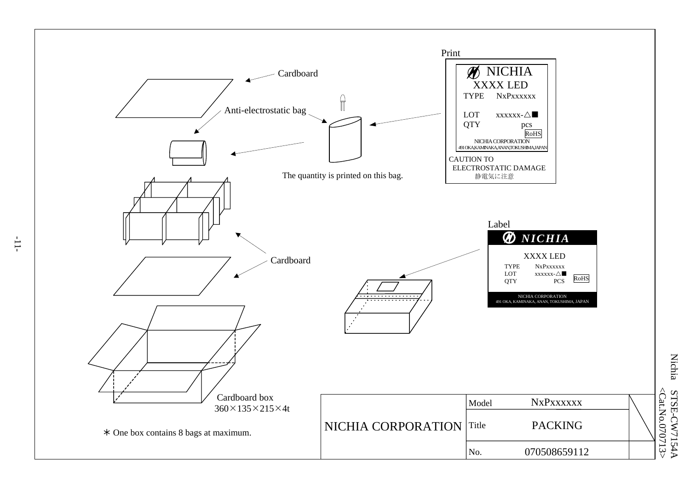

**Nichia** Nichia STSE-CW7154 <Cat.No.070713> <Cat.No.070713 **STSE-CW7154A** 

-11-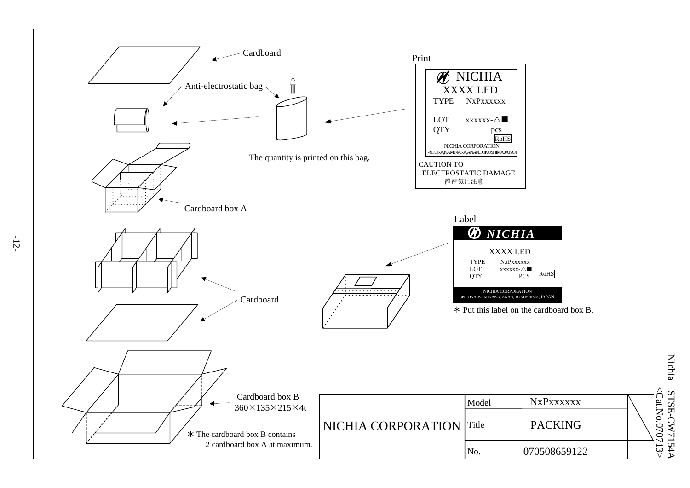

-12-

**Nichia** Nichia STSE-CW7154 <Cat.No.070713> <Cat.No.070713 **STSE-CW7154A**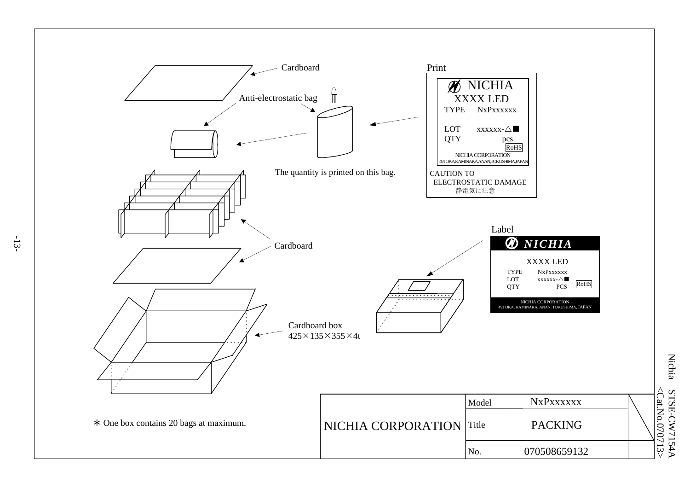